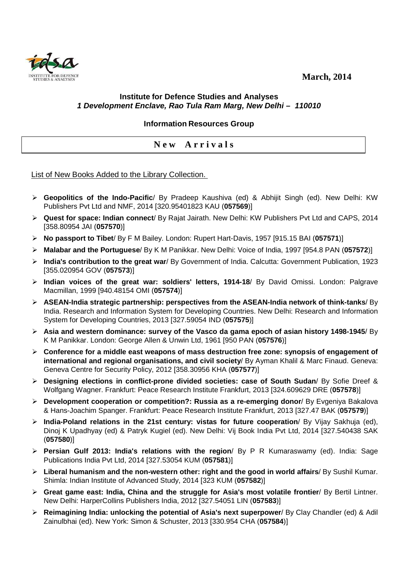**March, 2014** 



## **Institute for Defence Studies and Analyses 1 Development Enclave, Rao Tula Ram Marg, New Delhi – 110010**

## **Information Resources Group**

## **N e w A r r i v a l s**

List of New Books Added to the Library Collection.

- **Geopolitics of the Indo-Pacific**/ By Pradeep Kaushiva (ed) & Abhijit Singh (ed). New Delhi: KW Publishers Pvt Ltd and NMF, 2014 [320.95401823 KAU (**057569**)]
- **Quest for space: Indian connect**/ By Rajat Jairath. New Delhi: KW Publishers Pvt Ltd and CAPS, 2014 [358.80954 JAI (**057570**)]
- **No passport to Tibet**/ By F M Bailey. London: Rupert Hart-Davis, 1957 [915.15 BAI (**057571**)]
- **Malabar and the Portuguese**/ By K M Panikkar. New Delhi: Voice of India, 1997 [954.8 PAN (**057572**)]
- **India's contribution to the great war**/ By Government of India. Calcutta: Government Publication, 1923 [355.020954 GOV (**057573**)]
- **Indian voices of the great war: soldiers' letters, 1914-18**/ By David Omissi. London: Palgrave Macmillan, 1999 [940.48154 OMI (**057574**)]
- **ASEAN-India strategic partnership: perspectives from the ASEAN-India network of think-tanks**/ By India. Research and Information System for Developing Countries. New Delhi: Research and Information System for Developing Countries, 2013 [327.59054 IND (**057575**)]
- **Asia and western dominance: survey of the Vasco da gama epoch of asian history 1498-1945**/ By K M Panikkar. London: George Allen & Unwin Ltd, 1961 [950 PAN (**057576**)]
- **Conference for a middle east weapons of mass destruction free zone: synopsis of engagement of international and regional organisations, and civil society**/ By Ayman Khalil & Marc Finaud. Geneva: Geneva Centre for Security Policy, 2012 [358.30956 KHA (**057577**)]
- **Designing elections in conflict-prone divided societies: case of South Sudan**/ By Sofie Dreef & Wolfgang Wagner. Frankfurt: Peace Research Institute Frankfurt, 2013 [324.609629 DRE (**057578**)]
- **Development cooperation or competition?: Russia as a re-emerging donor**/ By Evgeniya Bakalova & Hans-Joachim Spanger. Frankfurt: Peace Research Institute Frankfurt, 2013 [327.47 BAK (**057579**)]
- **India-Poland relations in the 21st century: vistas for future cooperation**/ By Vijay Sakhuja (ed), Dinoj K Upadhyay (ed) & Patryk Kugiel (ed). New Delhi: Vij Book India Pvt Ltd, 2014 [327.540438 SAK (**057580**)]
- **Persian Gulf 2013: India's relations with the region**/ By P R Kumaraswamy (ed). India: Sage Publications India Pvt Ltd, 2014 [327.53054 KUM (**057581**)]
- **Liberal humanism and the non-western other: right and the good in world affairs**/ By Sushil Kumar. Shimla: Indian Institute of Advanced Study, 2014 [323 KUM (**057582**)]
- **Great game east: India, China and the struggle for Asia's most volatile frontier**/ By Bertil Lintner. New Delhi: HarperCollins Publishers India, 2012 [327.54051 LIN (**057583**)]
- **Reimagining India: unlocking the potential of Asia's next superpower**/ By Clay Chandler (ed) & Adil Zainulbhai (ed). New York: Simon & Schuster, 2013 [330.954 CHA (**057584**)]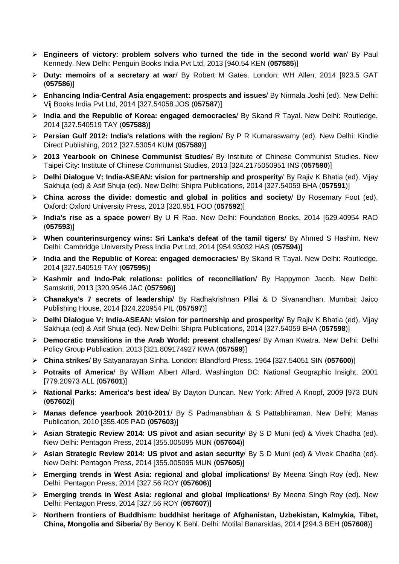- **Engineers of victory: problem solvers who turned the tide in the second world war**/ By Paul Kennedy. New Delhi: Penguin Books India Pvt Ltd, 2013 [940.54 KEN (**057585**)]
- **Duty: memoirs of a secretary at war**/ By Robert M Gates. London: WH Allen, 2014 [923.5 GAT (**057586**)]
- **Enhancing India-Central Asia engagement: prospects and issues**/ By Nirmala Joshi (ed). New Delhi: Vij Books India Pvt Ltd, 2014 [327.54058 JOS (**057587**)]
- **India and the Republic of Korea: engaged democracies**/ By Skand R Tayal. New Delhi: Routledge, 2014 [327.540519 TAY (**057588**)]
- **Persian Gulf 2012: India's relations with the region**/ By P R Kumaraswamy (ed). New Delhi: Kindle Direct Publishing, 2012 [327.53054 KUM (**057589**)]
- **2013 Yearbook on Chinese Communist Studies**/ By Institute of Chinese Communist Studies. New Taipei City: Institute of Chinese Communist Studies, 2013 [324.2175050951 INS (**057590**)]
- **Delhi Dialogue V: India-ASEAN: vision for partnership and prosperity**/ By Rajiv K Bhatia (ed), Vijay Sakhuja (ed) & Asif Shuja (ed). New Delhi: Shipra Publications, 2014 [327.54059 BHA (**057591**)]
- **China across the divide: domestic and global in politics and society**/ By Rosemary Foot (ed). Oxford: Oxford University Press, 2013 [320.951 FOO (**057592**)]
- **India's rise as a space power**/ By U R Rao. New Delhi: Foundation Books, 2014 [629.40954 RAO (**057593**)]
- **When counterinsurgency wins: Sri Lanka's defeat of the tamil tigers**/ By Ahmed S Hashim. New Delhi: Cambridge University Press India Pvt Ltd, 2014 [954.93032 HAS (**057594**)]
- **India and the Republic of Korea: engaged democracies**/ By Skand R Tayal. New Delhi: Routledge, 2014 [327.540519 TAY (**057595**)]
- **Kashmir and Indo-Pak relations: politics of reconciliation**/ By Happymon Jacob. New Delhi: Samskriti, 2013 [320.9546 JAC (**057596**)]
- **Chanakya's 7 secrets of leadership**/ By Radhakrishnan Pillai & D Sivanandhan. Mumbai: Jaico Publishing House, 2014 [324.220954 PIL (**057597**)]
- **Delhi Dialogue V: India-ASEAN: vision for partnership and prosperity**/ By Rajiv K Bhatia (ed), Vijay Sakhuja (ed) & Asif Shuja (ed). New Delhi: Shipra Publications, 2014 [327.54059 BHA (**057598**)]
- **Democratic transitions in the Arab World: present challenges**/ By Aman Kwatra. New Delhi: Delhi Policy Group Publication, 2013 [321.809174927 KWA (**057599**)]
- **China strikes**/ By Satyanarayan Sinha. London: Blandford Press, 1964 [327.54051 SIN (**057600**)]
- **Potraits of America**/ By William Albert Allard. Washington DC: National Geographic Insight, 2001 [779.20973 ALL (**057601**)]
- **National Parks: America's best idea**/ By Dayton Duncan. New York: Alfred A Knopf, 2009 [973 DUN (**057602**)]
- **Manas defence yearbook 2010-2011**/ By S Padmanabhan & S Pattabhiraman. New Delhi: Manas Publication, 2010 [355.405 PAD (**057603**)]
- **Asian Strategic Review 2014: US pivot and asian security**/ By S D Muni (ed) & Vivek Chadha (ed). New Delhi: Pentagon Press, 2014 [355.005095 MUN (**057604**)]
- **Asian Strategic Review 2014: US pivot and asian security**/ By S D Muni (ed) & Vivek Chadha (ed). New Delhi: Pentagon Press, 2014 [355.005095 MUN (**057605**)]
- **Emerging trends in West Asia: regional and global implications**/ By Meena Singh Roy (ed). New Delhi: Pentagon Press, 2014 [327.56 ROY (**057606**)]
- **Emerging trends in West Asia: regional and global implications**/ By Meena Singh Roy (ed). New Delhi: Pentagon Press, 2014 [327.56 ROY (**057607**)]
- **Northern frontiers of Buddhism: buddhist heritage of Afghanistan, Uzbekistan, Kalmykia, Tibet, China, Mongolia and Siberia**/ By Benoy K Behl. Delhi: Motilal Banarsidas, 2014 [294.3 BEH (**057608**)]